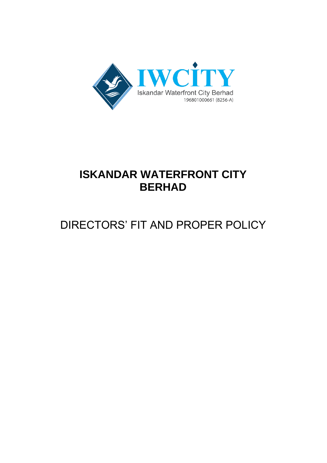

## **ISKANDAR WATERFRONT CITY BERHAD**

# DIRECTORS' FIT AND PROPER POLICY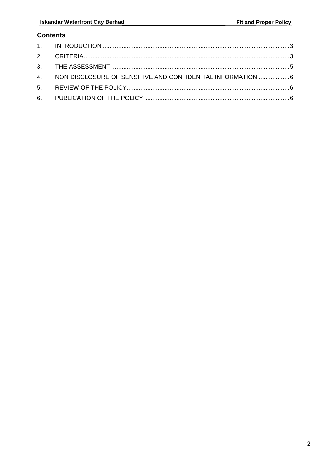### **Contents**

| 4. NON DISCLOSURE OF SENSITIVE AND CONFIDENTIAL INFORMATION 6 |  |
|---------------------------------------------------------------|--|
|                                                               |  |
|                                                               |  |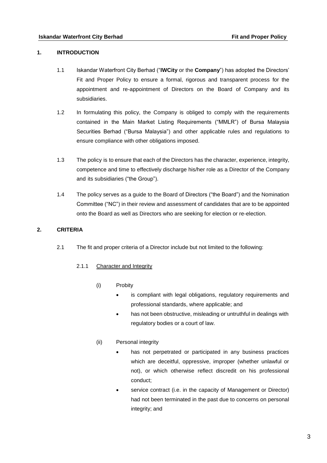#### <span id="page-2-0"></span>**1. INTRODUCTION**

- 1.1 Iskandar Waterfront City Berhad ("**IWCity** or the **Company**") has adopted the Directors' Fit and Proper Policy to ensure a formal, rigorous and transparent process for the appointment and re-appointment of Directors on the Board of Company and its subsidiaries.
- 1.2 In formulating this policy, the Company is obliged to comply with the requirements contained in the Main Market Listing Requirements ("MMLR") of Bursa Malaysia Securities Berhad ("Bursa Malaysia") and other applicable rules and regulations to ensure compliance with other obligations imposed.
- 1.3 The policy is to ensure that each of the Directors has the character, experience, integrity, competence and time to effectively discharge his/her role as a Director of the Company and its subsidiaries ("the Group").
- 1.4 The policy serves as a guide to the Board of Directors ("the Board") and the Nomination Committee ("NC") in their review and assessment of candidates that are to be appointed onto the Board as well as Directors who are seeking for election or re-election.

#### <span id="page-2-1"></span>**2. CRITERIA**

2.1 The fit and proper criteria of a Director include but not limited to the following:

#### 2.1.1 Character and Integrity

- (i) Probity
	- is compliant with legal obligations, regulatory requirements and professional standards, where applicable; and
	- has not been obstructive, misleading or untruthful in dealings with regulatory bodies or a court of law.

#### (ii) Personal integrity

- has not perpetrated or participated in any business practices which are deceitful, oppressive, improper (whether unlawful or not), or which otherwise reflect discredit on his professional conduct;
- service contract (i.e. in the capacity of Management or Director) had not been terminated in the past due to concerns on personal integrity; and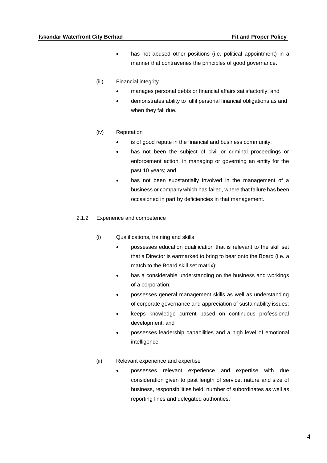- has not abused other positions (i.e. political appointment) in a manner that contravenes the principles of good governance.
- (iii) Financial integrity
	- manages personal debts or financial affairs satisfactorily; and
	- demonstrates ability to fulfil personal financial obligations as and when they fall due.
- (iv) Reputation
	- is of good repute in the financial and business community;
	- has not been the subject of civil or criminal proceedings or enforcement action, in managing or governing an entity for the past 10 years; and
	- has not been substantially involved in the management of a business or company which has failed, where that failure has been occasioned in part by deficiencies in that management.

#### 2.1.2 Experience and competence

- (i) Qualifications, training and skills
	- possesses education qualification that is relevant to the skill set that a Director is earmarked to bring to bear onto the Board (i.e. a match to the Board skill set matrix);
	- has a considerable understanding on the business and workings of a corporation;
	- possesses general management skills as well as understanding of corporate governance and appreciation of sustainability issues;
	- keeps knowledge current based on continuous professional development; and
	- possesses leadership capabilities and a high level of emotional intelligence.
- (ii) Relevant experience and expertise
	- possesses relevant experience and expertise with due consideration given to past length of service, nature and size of business, responsibilities held, number of subordinates as well as reporting lines and delegated authorities.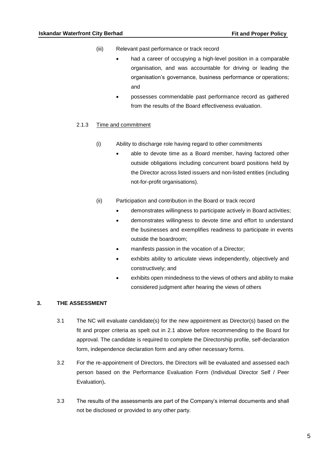- (iii) Relevant past performance or track record
	- had a career of occupying a high-level position in a comparable organisation, and was accountable for driving or leading the organisation's governance, business performance or operations; and
	- possesses commendable past performance record as gathered from the results of the Board effectiveness evaluation.

#### 2.1.3 Time and commitment

- (i) Ability to discharge role having regard to other commitments
	- able to devote time as a Board member, having factored other outside obligations including concurrent board positions held by the Director across listed issuers and non-listed entities (including not-for-profit organisations).
- (ii) Participation and contribution in the Board or track record
	- demonstrates willingness to participate actively in Board activities;
	- demonstrates willingness to devote time and effort to understand the businesses and exemplifies readiness to participate in events outside the boardroom;
	- manifests passion in the vocation of a Director;
	- exhibits ability to articulate views independently, objectively and constructively; and
	- exhibits open mindedness to the views of others and ability to make considered judgment after hearing the views of others

#### <span id="page-4-0"></span>**3. THE ASSESSMENT**

- 3.1 The NC will evaluate candidate(s) for the new appointment as Director(s) based on the fit and proper criteria as spelt out in 2.1 above before recommending to the Board for approval. The candidate is required to complete the Directorship profile, self-declaration form, independence declaration form and any other necessary forms.
- 3.2 For the re-appointment of Directors, the Directors will be evaluated and assessed each person based on the Performance Evaluation Form (Individual Director Self / Peer Evaluation)**.**
- 3.3 The results of the assessments are part of the Company's internal documents and shall not be disclosed or provided to any other party.